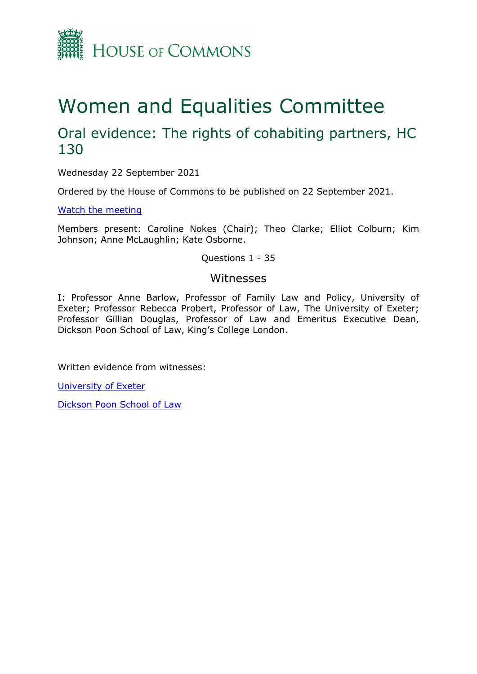

# Women and Equalities Committee

## Oral evidence: The rights of cohabiting partners, HC 130

Wednesday 22 September 2021

Ordered by the House of Commons to be published on 22 September 2021.

[Watch](https://www.parliamentlive.tv/Event/Index/927c122e-f08c-4614-8d6f-04be158e67b4) [the](https://www.parliamentlive.tv/Event/Index/927c122e-f08c-4614-8d6f-04be158e67b4) [meeting](https://www.parliamentlive.tv/Event/Index/927c122e-f08c-4614-8d6f-04be158e67b4)

Members present: Caroline Nokes (Chair); Theo Clarke; Elliot Colburn; Kim Johnson; Anne McLaughlin; Kate Osborne.

Questions 1 - 35

### Witnesses

I: Professor Anne Barlow, Professor of Family Law and Policy, University of Exeter; Professor Rebecca Probert, Professor of Law, The University of Exeter; Professor Gillian Douglas, Professor of Law and Emeritus Executive Dean, Dickson Poon School of Law, King's College London.

Written evidence from witnesses:

[University](https://committees.parliament.uk/writtenevidence/38054/pdf/) [of](https://committees.parliament.uk/writtenevidence/38054/pdf/) [Exeter](https://committees.parliament.uk/writtenevidence/38054/pdf/)

[Dickson](https://committees.parliament.uk/writtenevidence/38055/pdf/) [Poon](https://committees.parliament.uk/writtenevidence/38055/pdf/) [School](https://committees.parliament.uk/writtenevidence/38055/pdf/) [of](https://committees.parliament.uk/writtenevidence/38055/pdf/) [Law](https://committees.parliament.uk/writtenevidence/38055/pdf/)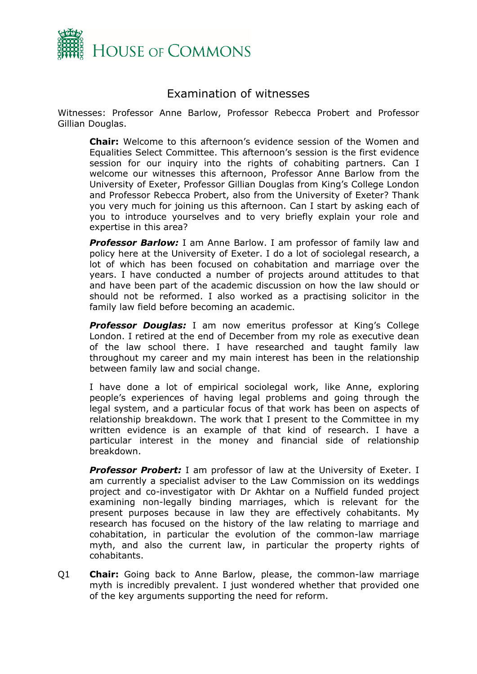

## Examination of witnesses

Witnesses: Professor Anne Barlow, Professor Rebecca Probert and Professor Gillian Douglas.

**Chair:** Welcome to this afternoon's evidence session of the Women and Equalities Select Committee. This afternoon's session is the first evidence session for our inquiry into the rights of cohabiting partners. Can I welcome our witnesses this afternoon, Professor Anne Barlow from the University of Exeter, Professor Gillian Douglas from King's College London and Professor Rebecca Probert, also from the University of Exeter? Thank you very much for joining us this afternoon. Can I start by asking each of you to introduce yourselves and to very briefly explain your role and expertise in this area?

**Professor Barlow:** I am Anne Barlow. I am professor of family law and policy here at the University of Exeter. I do a lot of sociolegal research, a lot of which has been focused on cohabitation and marriage over the years. I have conducted a number of projects around attitudes to that and have been part of the academic discussion on how the law should or should not be reformed. I also worked as a practising solicitor in the family law field before becoming an academic.

*Professor Douglas:* I am now emeritus professor at King's College London. I retired at the end of December from my role as executive dean of the law school there. I have researched and taught family law throughout my career and my main interest has been in the relationship between family law and social change.

I have done a lot of empirical sociolegal work, like Anne, exploring people's experiences of having legal problems and going through the legal system, and a particular focus of that work has been on aspects of relationship breakdown. The work that I present to the Committee in my written evidence is an example of that kind of research. I have a particular interest in the money and financial side of relationship breakdown.

*Professor Probert:* I am professor of law at the University of Exeter. I am currently a specialist adviser to the Law Commission on its weddings project and co-investigator with Dr Akhtar on a Nuffield funded project examining non-legally binding marriages, which is relevant for the present purposes because in law they are effectively cohabitants. My research has focused on the history of the law relating to marriage and cohabitation, in particular the evolution of the common-law marriage myth, and also the current law, in particular the property rights of cohabitants.

Q1 **Chair:** Going back to Anne Barlow, please, the common-law marriage myth is incredibly prevalent. I just wondered whether that provided one of the key arguments supporting the need for reform.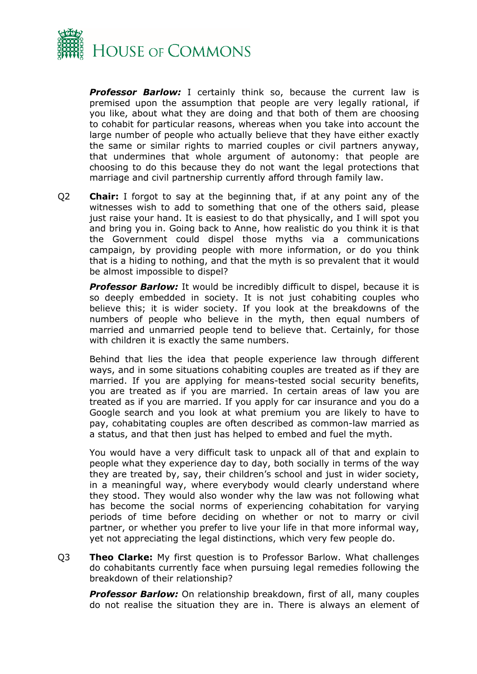

**Professor Barlow:** I certainly think so, because the current law is premised upon the assumption that people are very legally rational, if you like, about what they are doing and that both of them are choosing to cohabit for particular reasons, whereas when you take into account the large number of people who actually believe that they have either exactly the same or similar rights to married couples or civil partners anyway, that undermines that whole argument of autonomy: that people are choosing to do this because they do not want the legal protections that marriage and civil partnership currently afford through family law.

Q2 **Chair:** I forgot to say at the beginning that, if at any point any of the witnesses wish to add to something that one of the others said, please just raise your hand. It is easiest to do that physically, and I will spot you and bring you in. Going back to Anne, how realistic do you think it is that the Government could dispel those myths via a communications campaign, by providing people with more information, or do you think that is a hiding to nothing, and that the myth is so prevalent that it would be almost impossible to dispel?

*Professor Barlow:* It would be incredibly difficult to dispel, because it is so deeply embedded in society. It is not just cohabiting couples who believe this; it is wider society. If you look at the breakdowns of the numbers of people who believe in the myth, then equal numbers of married and unmarried people tend to believe that. Certainly, for those with children it is exactly the same numbers.

Behind that lies the idea that people experience law through different ways, and in some situations cohabiting couples are treated as if they are married. If you are applying for means-tested social security benefits, you are treated as if you are married. In certain areas of law you are treated as if you are married. If you apply for car insurance and you do a Google search and you look at what premium you are likely to have to pay, cohabitating couples are often described as common-law married as a status, and that then just has helped to embed and fuel the myth.

You would have a very difficult task to unpack all of that and explain to people what they experience day to day, both socially in terms of the way they are treated by, say, their children's school and just in wider society, in a meaningful way, where everybody would clearly understand where they stood. They would also wonder why the law was not following what has become the social norms of experiencing cohabitation for varying periods of time before deciding on whether or not to marry or civil partner, or whether you prefer to live your life in that more informal way, yet not appreciating the legal distinctions, which very few people do.

Q3 **Theo Clarke:** My first question is to Professor Barlow. What challenges do cohabitants currently face when pursuing legal remedies following the breakdown of their relationship?

**Professor Barlow:** On relationship breakdown, first of all, many couples do not realise the situation they are in. There is always an element of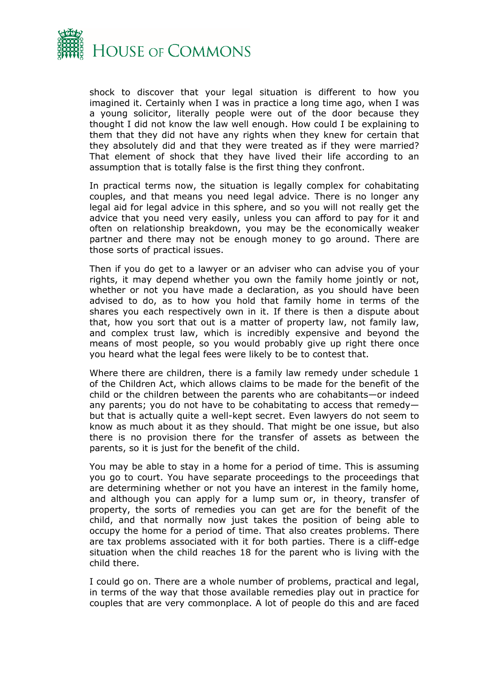

shock to discover that your legal situation is different to how you imagined it. Certainly when I was in practice a long time ago, when I was a young solicitor, literally people were out of the door because they thought I did not know the law well enough. How could I be explaining to them that they did not have any rights when they knew for certain that they absolutely did and that they were treated as if they were married? That element of shock that they have lived their life according to an assumption that is totally false is the first thing they confront.

In practical terms now, the situation is legally complex for cohabitating couples, and that means you need legal advice. There is no longer any legal aid for legal advice in this sphere, and so you will not really get the advice that you need very easily, unless you can afford to pay for it and often on relationship breakdown, you may be the economically weaker partner and there may not be enough money to go around. There are those sorts of practical issues.

Then if you do get to a lawyer or an adviser who can advise you of your rights, it may depend whether you own the family home jointly or not, whether or not you have made a declaration, as you should have been advised to do, as to how you hold that family home in terms of the shares you each respectively own in it. If there is then a dispute about that, how you sort that out is a matter of property law, not family law, and complex trust law, which is incredibly expensive and beyond the means of most people, so you would probably give up right there once you heard what the legal fees were likely to be to contest that.

Where there are children, there is a family law remedy under schedule 1 of the Children Act, which allows claims to be made for the benefit of the child or the children between the parents who are cohabitants—or indeed any parents; you do not have to be cohabitating to access that remedy but that is actually quite a well-kept secret. Even lawyers do not seem to know as much about it as they should. That might be one issue, but also there is no provision there for the transfer of assets as between the parents, so it is just for the benefit of the child.

You may be able to stay in a home for a period of time. This is assuming you go to court. You have separate proceedings to the proceedings that are determining whether or not you have an interest in the family home, and although you can apply for a lump sum or, in theory, transfer of property, the sorts of remedies you can get are for the benefit of the child, and that normally now just takes the position of being able to occupy the home for a period of time. That also creates problems. There are tax problems associated with it for both parties. There is a cliff-edge situation when the child reaches 18 for the parent who is living with the child there.

I could go on. There are a whole number of problems, practical and legal, in terms of the way that those available remedies play out in practice for couples that are very commonplace. A lot of people do this and are faced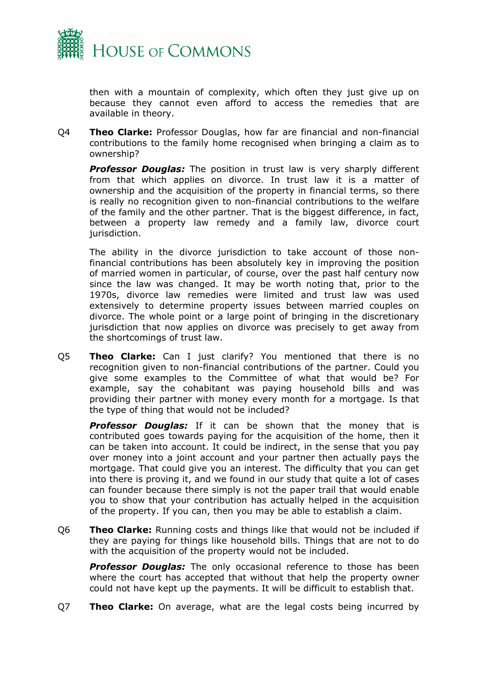

then with a mountain of complexity, which often they just give up on because they cannot even afford to access the remedies that are available in theory.

Q4 **Theo Clarke:** Professor Douglas, how far are financial and non-financial contributions to the family home recognised when bringing a claim as to ownership?

*Professor Douglas:* The position in trust law is very sharply different from that which applies on divorce. In trust law it is a matter of ownership and the acquisition of the property in financial terms, so there is really no recognition given to non-financial contributions to the welfare of the family and the other partner. That is the biggest difference, in fact, between a property law remedy and a family law, divorce court jurisdiction.

The ability in the divorce jurisdiction to take account of those nonfinancial contributions has been absolutely key in improving the position of married women in particular, of course, over the past half century now since the law was changed. It may be worth noting that, prior to the 1970s, divorce law remedies were limited and trust law was used extensively to determine property issues between married couples on divorce. The whole point or a large point of bringing in the discretionary jurisdiction that now applies on divorce was precisely to get away from the shortcomings of trust law.

Q5 **Theo Clarke:** Can I just clarify? You mentioned that there is no recognition given to non-financial contributions of the partner. Could you give some examples to the Committee of what that would be? For example, say the cohabitant was paying household bills and was providing their partner with money every month for a mortgage. Is that the type of thing that would not be included?

*Professor Douglas:* If it can be shown that the money that is contributed goes towards paying for the acquisition of the home, then it can be taken into account. It could be indirect, in the sense that you pay over money into a joint account and your partner then actually pays the mortgage. That could give you an interest. The difficulty that you can get into there is proving it, and we found in our study that quite a lot of cases can founder because there simply is not the paper trail that would enable you to show that your contribution has actually helped in the acquisition of the property. If you can, then you may be able to establish a claim.

Q6 **Theo Clarke:** Running costs and things like that would not be included if they are paying for things like household bills. Things that are not to do with the acquisition of the property would not be included.

**Professor Douglas:** The only occasional reference to those has been where the court has accepted that without that help the property owner could not have kept up the payments. It will be difficult to establish that.

Q7 **Theo Clarke:** On average, what are the legal costs being incurred by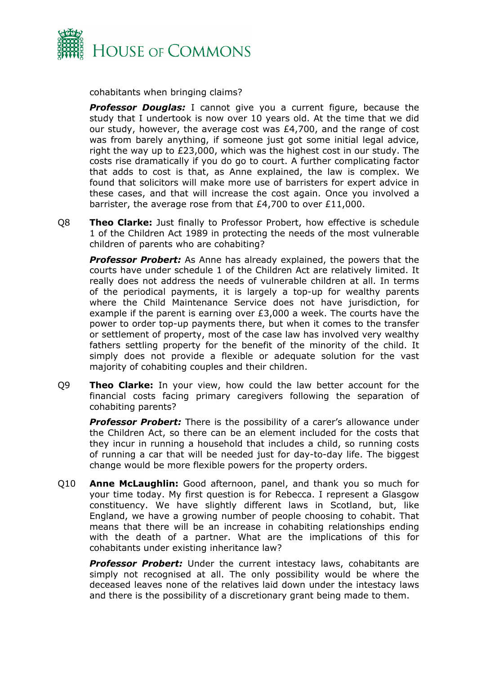

cohabitants when bringing claims?

**Professor Douglas:** I cannot give you a current figure, because the study that I undertook is now over 10 years old. At the time that we did our study, however, the average cost was £4,700, and the range of cost was from barely anything, if someone just got some initial legal advice, right the way up to £23,000, which was the highest cost in our study. The costs rise dramatically if you do go to court. A further complicating factor that adds to cost is that, as Anne explained, the law is complex. We found that solicitors will make more use of barristers for expert advice in these cases, and that will increase the cost again. Once you involved a barrister, the average rose from that £4,700 to over £11,000.

Q8 **Theo Clarke:** Just finally to Professor Probert, how effective is schedule 1 of the Children Act 1989 in protecting the needs of the most vulnerable children of parents who are cohabiting?

*Professor Probert:* As Anne has already explained, the powers that the courts have under schedule 1 of the Children Act are relatively limited. It really does not address the needs of vulnerable children at all. In terms of the periodical payments, it is largely a top-up for wealthy parents where the Child Maintenance Service does not have jurisdiction, for example if the parent is earning over £3,000 a week. The courts have the power to order top-up payments there, but when it comes to the transfer or settlement of property, most of the case law has involved very wealthy fathers settling property for the benefit of the minority of the child. It simply does not provide a flexible or adequate solution for the vast majority of cohabiting couples and their children.

Q9 **Theo Clarke:** In your view, how could the law better account for the financial costs facing primary caregivers following the separation of cohabiting parents?

**Professor Probert:** There is the possibility of a carer's allowance under the Children Act, so there can be an element included for the costs that they incur in running a household that includes a child, so running costs of running a car that will be needed just for day-to-day life. The biggest change would be more flexible powers for the property orders.

Q10 **Anne McLaughlin:** Good afternoon, panel, and thank you so much for your time today. My first question is for Rebecca. I represent a Glasgow constituency. We have slightly different laws in Scotland, but, like England, we have a growing number of people choosing to cohabit. That means that there will be an increase in cohabiting relationships ending with the death of a partner. What are the implications of this for cohabitants under existing inheritance law?

*Professor Probert:* Under the current intestacy laws, cohabitants are simply not recognised at all. The only possibility would be where the deceased leaves none of the relatives laid down under the intestacy laws and there is the possibility of a discretionary grant being made to them.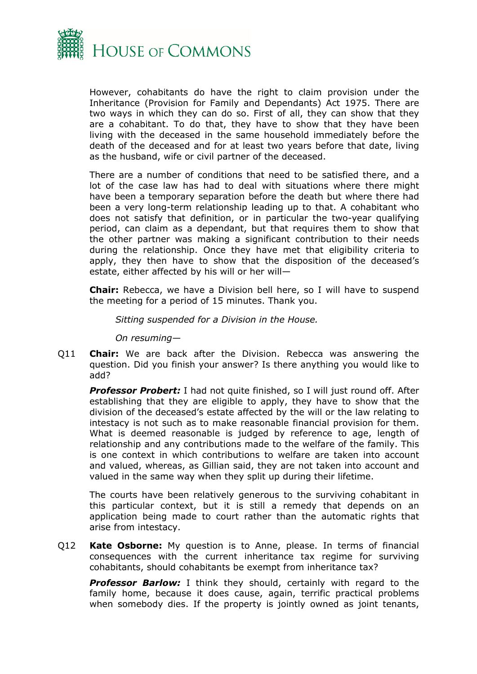

However, cohabitants do have the right to claim provision under the Inheritance (Provision for Family and Dependants) Act 1975. There are two ways in which they can do so. First of all, they can show that they are a cohabitant. To do that, they have to show that they have been living with the deceased in the same household immediately before the death of the deceased and for at least two years before that date, living as the husband, wife or civil partner of the deceased.

There are a number of conditions that need to be satisfied there, and a lot of the case law has had to deal with situations where there might have been a temporary separation before the death but where there had been a very long-term relationship leading up to that. A cohabitant who does not satisfy that definition, or in particular the two-year qualifying period, can claim as a dependant, but that requires them to show that the other partner was making a significant contribution to their needs during the relationship. Once they have met that eligibility criteria to apply, they then have to show that the disposition of the deceased's estate, either affected by his will or her will—

**Chair:** Rebecca, we have a Division bell here, so I will have to suspend the meeting for a period of 15 minutes. Thank you.

*Sitting suspended for a Division in the House.*

*On resuming—*

Q11 **Chair:** We are back after the Division. Rebecca was answering the question. Did you finish your answer? Is there anything you would like to add?

**Professor Probert:** I had not quite finished, so I will just round off. After establishing that they are eligible to apply, they have to show that the division of the deceased's estate affected by the will or the law relating to intestacy is not such as to make reasonable financial provision for them. What is deemed reasonable is judged by reference to age, length of relationship and any contributions made to the welfare of the family. This is one context in which contributions to welfare are taken into account and valued, whereas, as Gillian said, they are not taken into account and valued in the same way when they split up during their lifetime.

The courts have been relatively generous to the surviving cohabitant in this particular context, but it is still a remedy that depends on an application being made to court rather than the automatic rights that arise from intestacy.

Q12 **Kate Osborne:** My question is to Anne, please. In terms of financial consequences with the current inheritance tax regime for surviving cohabitants, should cohabitants be exempt from inheritance tax?

**Professor Barlow:** I think they should, certainly with regard to the family home, because it does cause, again, terrific practical problems when somebody dies. If the property is jointly owned as joint tenants,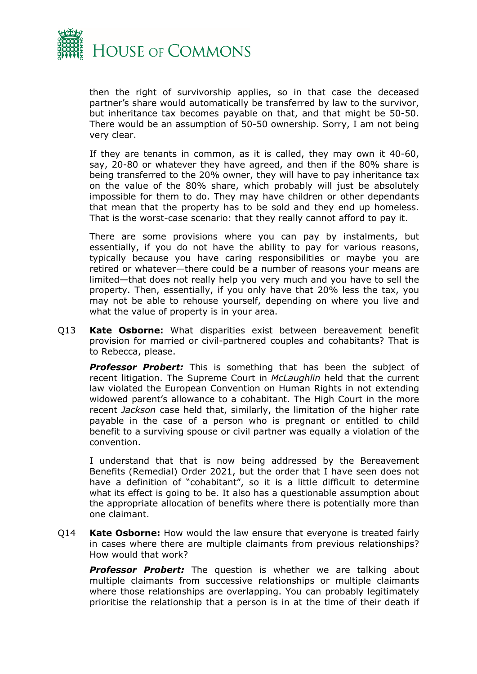

then the right of survivorship applies, so in that case the deceased partner's share would automatically be transferred by law to the survivor, but inheritance tax becomes payable on that, and that might be 50-50. There would be an assumption of 50-50 ownership. Sorry, I am not being very clear.

If they are tenants in common, as it is called, they may own it 40-60, say, 20-80 or whatever they have agreed, and then if the 80% share is being transferred to the 20% owner, they will have to pay inheritance tax on the value of the 80% share, which probably will just be absolutely impossible for them to do. They may have children or other dependants that mean that the property has to be sold and they end up homeless. That is the worst-case scenario: that they really cannot afford to pay it.

There are some provisions where you can pay by instalments, but essentially, if you do not have the ability to pay for various reasons, typically because you have caring responsibilities or maybe you are retired or whatever—there could be a number of reasons your means are limited—that does not really help you very much and you have to sell the property. Then, essentially, if you only have that 20% less the tax, you may not be able to rehouse yourself, depending on where you live and what the value of property is in your area.

Q13 **Kate Osborne:** What disparities exist between bereavement benefit provision for married or civil-partnered couples and cohabitants? That is to Rebecca, please.

*Professor Probert:* This is something that has been the subject of recent litigation. The Supreme Court in *McLaughlin* held that the current law violated the European Convention on Human Rights in not extending widowed parent's allowance to a cohabitant. The High Court in the more recent *Jackson* case held that, similarly, the limitation of the higher rate payable in the case of a person who is pregnant or entitled to child benefit to a surviving spouse or civil partner was equally a violation of the convention.

I understand that that is now being addressed by the Bereavement Benefits (Remedial) Order 2021, but the order that I have seen does not have a definition of "cohabitant", so it is a little difficult to determine what its effect is going to be. It also has a questionable assumption about the appropriate allocation of benefits where there is potentially more than one claimant.

Q14 **Kate Osborne:** How would the law ensure that everyone is treated fairly in cases where there are multiple claimants from previous relationships? How would that work?

*Professor Probert:* The question is whether we are talking about multiple claimants from successive relationships or multiple claimants where those relationships are overlapping. You can probably legitimately prioritise the relationship that a person is in at the time of their death if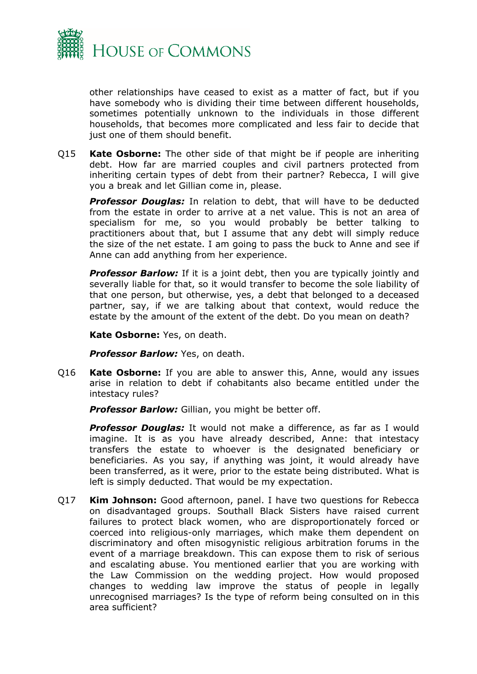

other relationships have ceased to exist as a matter of fact, but if you have somebody who is dividing their time between different households, sometimes potentially unknown to the individuals in those different households, that becomes more complicated and less fair to decide that just one of them should benefit.

Q15 **Kate Osborne:** The other side of that might be if people are inheriting debt. How far are married couples and civil partners protected from inheriting certain types of debt from their partner? Rebecca, I will give you a break and let Gillian come in, please.

*Professor Douglas:* In relation to debt, that will have to be deducted from the estate in order to arrive at a net value. This is not an area of specialism for me, so you would probably be better talking to practitioners about that, but I assume that any debt will simply reduce the size of the net estate. I am going to pass the buck to Anne and see if Anne can add anything from her experience.

**Professor Barlow:** If it is a joint debt, then you are typically jointly and severally liable for that, so it would transfer to become the sole liability of that one person, but otherwise, yes, a debt that belonged to a deceased partner, say, if we are talking about that context, would reduce the estate by the amount of the extent of the debt. Do you mean on death?

**Kate Osborne:** Yes, on death.

**Professor Barlow:** Yes, on death.

Q16 **Kate Osborne:** If you are able to answer this, Anne, would any issues arise in relation to debt if cohabitants also became entitled under the intestacy rules?

*Professor Barlow:* Gillian, you might be better off.

*Professor Douglas:* It would not make a difference, as far as I would imagine. It is as you have already described, Anne: that intestacy transfers the estate to whoever is the designated beneficiary or beneficiaries. As you say, if anything was joint, it would already have been transferred, as it were, prior to the estate being distributed. What is left is simply deducted. That would be my expectation.

Q17 **Kim Johnson:** Good afternoon, panel. I have two questions for Rebecca on disadvantaged groups. Southall Black Sisters have raised current failures to protect black women, who are disproportionately forced or coerced into religious-only marriages, which make them dependent on discriminatory and often misogynistic religious arbitration forums in the event of a marriage breakdown. This can expose them to risk of serious and escalating abuse. You mentioned earlier that you are working with the Law Commission on the wedding project. How would proposed changes to wedding law improve the status of people in legally unrecognised marriages? Is the type of reform being consulted on in this area sufficient?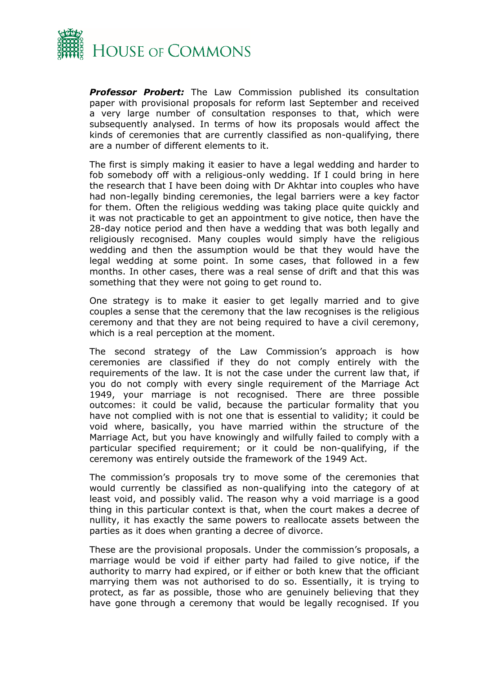

*Professor Probert:* The Law Commission published its consultation paper with provisional proposals for reform last September and received a very large number of consultation responses to that, which were subsequently analysed. In terms of how its proposals would affect the kinds of ceremonies that are currently classified as non-qualifying, there are a number of different elements to it.

The first is simply making it easier to have a legal wedding and harder to fob somebody off with a religious-only wedding. If I could bring in here the research that I have been doing with Dr Akhtar into couples who have had non-legally binding ceremonies, the legal barriers were a key factor for them. Often the religious wedding was taking place quite quickly and it was not practicable to get an appointment to give notice, then have the 28-day notice period and then have a wedding that was both legally and religiously recognised. Many couples would simply have the religious wedding and then the assumption would be that they would have the legal wedding at some point. In some cases, that followed in a few months. In other cases, there was a real sense of drift and that this was something that they were not going to get round to.

One strategy is to make it easier to get legally married and to give couples a sense that the ceremony that the law recognises is the religious ceremony and that they are not being required to have a civil ceremony, which is a real perception at the moment.

The second strategy of the Law Commission's approach is how ceremonies are classified if they do not comply entirely with the requirements of the law. It is not the case under the current law that, if you do not comply with every single requirement of the Marriage Act 1949, your marriage is not recognised. There are three possible outcomes: it could be valid, because the particular formality that you have not complied with is not one that is essential to validity; it could be void where, basically, you have married within the structure of the Marriage Act, but you have knowingly and wilfully failed to comply with a particular specified requirement; or it could be non-qualifying, if the ceremony was entirely outside the framework of the 1949 Act.

The commission's proposals try to move some of the ceremonies that would currently be classified as non-qualifying into the category of at least void, and possibly valid. The reason why a void marriage is a good thing in this particular context is that, when the court makes a decree of nullity, it has exactly the same powers to reallocate assets between the parties as it does when granting a decree of divorce.

These are the provisional proposals. Under the commission's proposals, a marriage would be void if either party had failed to give notice, if the authority to marry had expired, or if either or both knew that the officiant marrying them was not authorised to do so. Essentially, it is trying to protect, as far as possible, those who are genuinely believing that they have gone through a ceremony that would be legally recognised. If you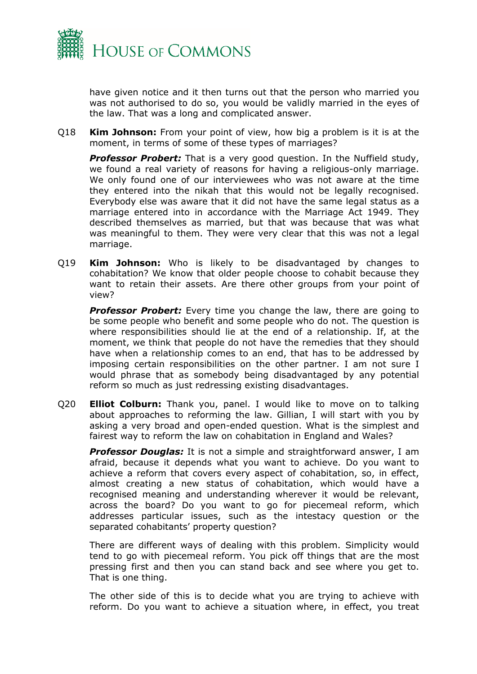

have given notice and it then turns out that the person who married you was not authorised to do so, you would be validly married in the eyes of the law. That was a long and complicated answer.

Q18 **Kim Johnson:** From your point of view, how big a problem is it is at the moment, in terms of some of these types of marriages?

*Professor Probert:* That is a very good question. In the Nuffield study, we found a real variety of reasons for having a religious-only marriage. We only found one of our interviewees who was not aware at the time they entered into the nikah that this would not be legally recognised. Everybody else was aware that it did not have the same legal status as a marriage entered into in accordance with the Marriage Act 1949. They described themselves as married, but that was because that was what was meaningful to them. They were very clear that this was not a legal marriage.

Q19 **Kim Johnson:** Who is likely to be disadvantaged by changes to cohabitation? We know that older people choose to cohabit because they want to retain their assets. Are there other groups from your point of view?

**Professor Probert:** Every time you change the law, there are going to be some people who benefit and some people who do not. The question is where responsibilities should lie at the end of a relationship. If, at the moment, we think that people do not have the remedies that they should have when a relationship comes to an end, that has to be addressed by imposing certain responsibilities on the other partner. I am not sure I would phrase that as somebody being disadvantaged by any potential reform so much as just redressing existing disadvantages.

Q20 **Elliot Colburn:** Thank you, panel. I would like to move on to talking about approaches to reforming the law. Gillian, I will start with you by asking a very broad and open-ended question. What is the simplest and fairest way to reform the law on cohabitation in England and Wales?

*Professor Douglas:* It is not a simple and straightforward answer, I am afraid, because it depends what you want to achieve. Do you want to achieve a reform that covers every aspect of cohabitation, so, in effect, almost creating a new status of cohabitation, which would have a recognised meaning and understanding wherever it would be relevant, across the board? Do you want to go for piecemeal reform, which addresses particular issues, such as the intestacy question or the separated cohabitants' property question?

There are different ways of dealing with this problem. Simplicity would tend to go with piecemeal reform. You pick off things that are the most pressing first and then you can stand back and see where you get to. That is one thing.

The other side of this is to decide what you are trying to achieve with reform. Do you want to achieve a situation where, in effect, you treat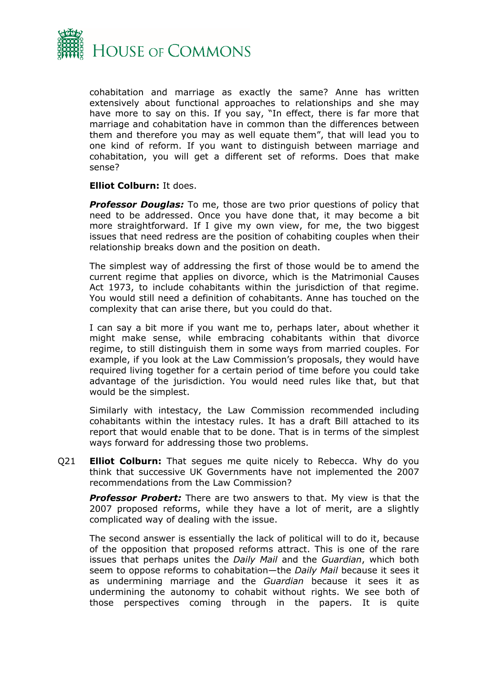

cohabitation and marriage as exactly the same? Anne has written extensively about functional approaches to relationships and she may have more to say on this. If you say, "In effect, there is far more that marriage and cohabitation have in common than the differences between them and therefore you may as well equate them", that will lead you to one kind of reform. If you want to distinguish between marriage and cohabitation, you will get a different set of reforms. Does that make sense?

#### **Elliot Colburn:** It does.

*Professor Douglas:* To me, those are two prior questions of policy that need to be addressed. Once you have done that, it may become a bit more straightforward. If I give my own view, for me, the two biggest issues that need redress are the position of cohabiting couples when their relationship breaks down and the position on death.

The simplest way of addressing the first of those would be to amend the current regime that applies on divorce, which is the Matrimonial Causes Act 1973, to include cohabitants within the jurisdiction of that regime. You would still need a definition of cohabitants. Anne has touched on the complexity that can arise there, but you could do that.

I can say a bit more if you want me to, perhaps later, about whether it might make sense, while embracing cohabitants within that divorce regime, to still distinguish them in some ways from married couples. For example, if you look at the Law Commission's proposals, they would have required living together for a certain period of time before you could take advantage of the jurisdiction. You would need rules like that, but that would be the simplest.

Similarly with intestacy, the Law Commission recommended including cohabitants within the intestacy rules. It has a draft Bill attached to its report that would enable that to be done. That is in terms of the simplest ways forward for addressing those two problems.

Q21 **Elliot Colburn:** That segues me quite nicely to Rebecca. Why do you think that successive UK Governments have not implemented the 2007 recommendations from the Law Commission?

*Professor Probert:* There are two answers to that. My view is that the 2007 proposed reforms, while they have a lot of merit, are a slightly complicated way of dealing with the issue.

The second answer is essentially the lack of political will to do it, because of the opposition that proposed reforms attract. This is one of the rare issues that perhaps unites the *Daily Mail* and the *Guardian*, which both seem to oppose reforms to cohabitation—the *Daily Mail* because it sees it as undermining marriage and the *Guardian* because it sees it as undermining the autonomy to cohabit without rights. We see both of those perspectives coming through in the papers. It is quite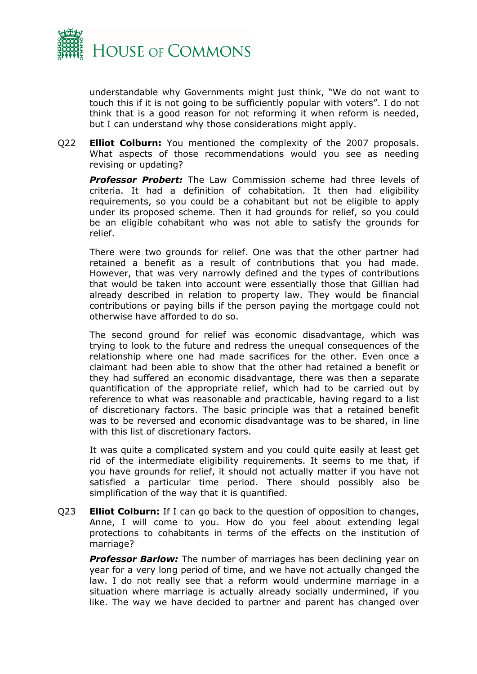

understandable why Governments might just think, "We do not want to touch this if it is not going to be sufficiently popular with voters". I do not think that is a good reason for not reforming it when reform is needed, but I can understand why those considerations might apply.

Q22 **Elliot Colburn:** You mentioned the complexity of the 2007 proposals. What aspects of those recommendations would you see as needing revising or updating?

*Professor Probert:* The Law Commission scheme had three levels of criteria. It had a definition of cohabitation. It then had eligibility requirements, so you could be a cohabitant but not be eligible to apply under its proposed scheme. Then it had grounds for relief, so you could be an eligible cohabitant who was not able to satisfy the grounds for relief.

There were two grounds for relief. One was that the other partner had retained a benefit as a result of contributions that you had made. However, that was very narrowly defined and the types of contributions that would be taken into account were essentially those that Gillian had already described in relation to property law. They would be financial contributions or paying bills if the person paying the mortgage could not otherwise have afforded to do so.

The second ground for relief was economic disadvantage, which was trying to look to the future and redress the unequal consequences of the relationship where one had made sacrifices for the other. Even once a claimant had been able to show that the other had retained a benefit or they had suffered an economic disadvantage, there was then a separate quantification of the appropriate relief, which had to be carried out by reference to what was reasonable and practicable, having regard to a list of discretionary factors. The basic principle was that a retained benefit was to be reversed and economic disadvantage was to be shared, in line with this list of discretionary factors.

It was quite a complicated system and you could quite easily at least get rid of the intermediate eligibility requirements. It seems to me that, if you have grounds for relief, it should not actually matter if you have not satisfied a particular time period. There should possibly also be simplification of the way that it is quantified.

Q23 **Elliot Colburn:** If I can go back to the question of opposition to changes, Anne, I will come to you. How do you feel about extending legal protections to cohabitants in terms of the effects on the institution of marriage?

*Professor Barlow:* The number of marriages has been declining year on year for a very long period of time, and we have not actually changed the law. I do not really see that a reform would undermine marriage in a situation where marriage is actually already socially undermined, if you like. The way we have decided to partner and parent has changed over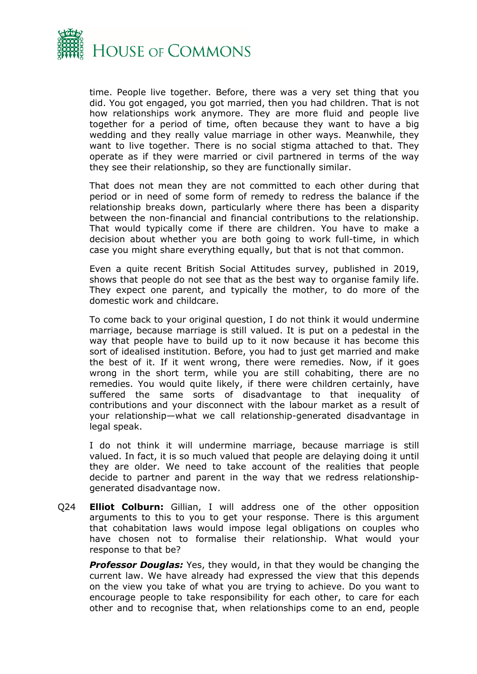

time. People live together. Before, there was a very set thing that you did. You got engaged, you got married, then you had children. That is not how relationships work anymore. They are more fluid and people live together for a period of time, often because they want to have a big wedding and they really value marriage in other ways. Meanwhile, they want to live together. There is no social stigma attached to that. They operate as if they were married or civil partnered in terms of the way they see their relationship, so they are functionally similar.

That does not mean they are not committed to each other during that period or in need of some form of remedy to redress the balance if the relationship breaks down, particularly where there has been a disparity between the non-financial and financial contributions to the relationship. That would typically come if there are children. You have to make a decision about whether you are both going to work full-time, in which case you might share everything equally, but that is not that common.

Even a quite recent British Social Attitudes survey, published in 2019, shows that people do not see that as the best way to organise family life. They expect one parent, and typically the mother, to do more of the domestic work and childcare.

To come back to your original question, I do not think it would undermine marriage, because marriage is still valued. It is put on a pedestal in the way that people have to build up to it now because it has become this sort of idealised institution. Before, you had to just get married and make the best of it. If it went wrong, there were remedies. Now, if it goes wrong in the short term, while you are still cohabiting, there are no remedies. You would quite likely, if there were children certainly, have suffered the same sorts of disadvantage to that inequality of contributions and your disconnect with the labour market as a result of your relationship—what we call relationship-generated disadvantage in legal speak.

I do not think it will undermine marriage, because marriage is still valued. In fact, it is so much valued that people are delaying doing it until they are older. We need to take account of the realities that people decide to partner and parent in the way that we redress relationshipgenerated disadvantage now.

Q24 **Elliot Colburn:** Gillian, I will address one of the other opposition arguments to this to you to get your response. There is this argument that cohabitation laws would impose legal obligations on couples who have chosen not to formalise their relationship. What would your response to that be?

*Professor Douglas:* Yes, they would, in that they would be changing the current law. We have already had expressed the view that this depends on the view you take of what you are trying to achieve. Do you want to encourage people to take responsibility for each other, to care for each other and to recognise that, when relationships come to an end, people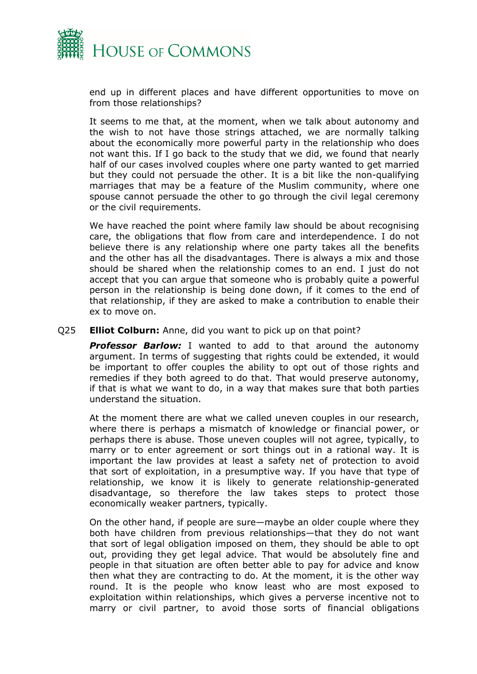

end up in different places and have different opportunities to move on from those relationships?

It seems to me that, at the moment, when we talk about autonomy and the wish to not have those strings attached, we are normally talking about the economically more powerful party in the relationship who does not want this. If I go back to the study that we did, we found that nearly half of our cases involved couples where one party wanted to get married but they could not persuade the other. It is a bit like the non-qualifying marriages that may be a feature of the Muslim community, where one spouse cannot persuade the other to go through the civil legal ceremony or the civil requirements.

We have reached the point where family law should be about recognising care, the obligations that flow from care and interdependence. I do not believe there is any relationship where one party takes all the benefits and the other has all the disadvantages. There is always a mix and those should be shared when the relationship comes to an end. I just do not accept that you can argue that someone who is probably quite a powerful person in the relationship is being done down, if it comes to the end of that relationship, if they are asked to make a contribution to enable their ex to move on.

#### Q25 **Elliot Colburn:** Anne, did you want to pick up on that point?

*Professor Barlow:* I wanted to add to that around the autonomy argument. In terms of suggesting that rights could be extended, it would be important to offer couples the ability to opt out of those rights and remedies if they both agreed to do that. That would preserve autonomy, if that is what we want to do, in a way that makes sure that both parties understand the situation.

At the moment there are what we called uneven couples in our research, where there is perhaps a mismatch of knowledge or financial power, or perhaps there is abuse. Those uneven couples will not agree, typically, to marry or to enter agreement or sort things out in a rational way. It is important the law provides at least a safety net of protection to avoid that sort of exploitation, in a presumptive way. If you have that type of relationship, we know it is likely to generate relationship-generated disadvantage, so therefore the law takes steps to protect those economically weaker partners, typically.

On the other hand, if people are sure—maybe an older couple where they both have children from previous relationships—that they do not want that sort of legal obligation imposed on them, they should be able to opt out, providing they get legal advice. That would be absolutely fine and people in that situation are often better able to pay for advice and know then what they are contracting to do. At the moment, it is the other way round. It is the people who know least who are most exposed to exploitation within relationships, which gives a perverse incentive not to marry or civil partner, to avoid those sorts of financial obligations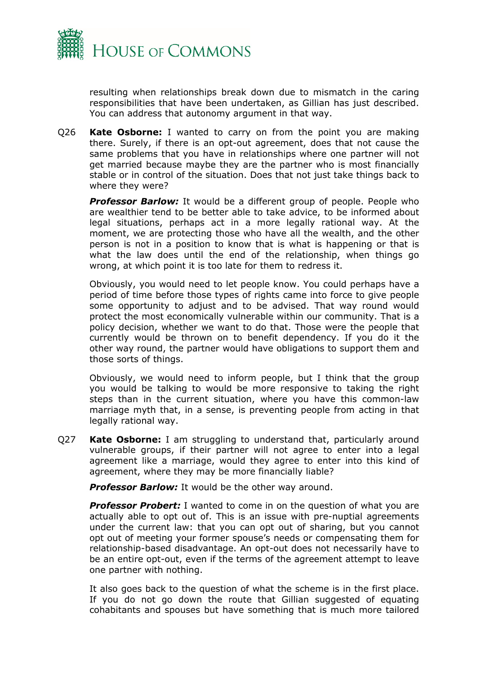

resulting when relationships break down due to mismatch in the caring responsibilities that have been undertaken, as Gillian has just described. You can address that autonomy argument in that way.

Q26 **Kate Osborne:** I wanted to carry on from the point you are making there. Surely, if there is an opt-out agreement, does that not cause the same problems that you have in relationships where one partner will not get married because maybe they are the partner who is most financially stable or in control of the situation. Does that not just take things back to where they were?

**Professor Barlow:** It would be a different group of people. People who are wealthier tend to be better able to take advice, to be informed about legal situations, perhaps act in a more legally rational way. At the moment, we are protecting those who have all the wealth, and the other person is not in a position to know that is what is happening or that is what the law does until the end of the relationship, when things go wrong, at which point it is too late for them to redress it.

Obviously, you would need to let people know. You could perhaps have a period of time before those types of rights came into force to give people some opportunity to adjust and to be advised. That way round would protect the most economically vulnerable within our community. That is a policy decision, whether we want to do that. Those were the people that currently would be thrown on to benefit dependency. If you do it the other way round, the partner would have obligations to support them and those sorts of things.

Obviously, we would need to inform people, but I think that the group you would be talking to would be more responsive to taking the right steps than in the current situation, where you have this common-law marriage myth that, in a sense, is preventing people from acting in that legally rational way.

Q27 **Kate Osborne:** I am struggling to understand that, particularly around vulnerable groups, if their partner will not agree to enter into a legal agreement like a marriage, would they agree to enter into this kind of agreement, where they may be more financially liable?

*Professor Barlow:* It would be the other way around.

**Professor Probert:** I wanted to come in on the question of what you are actually able to opt out of. This is an issue with pre-nuptial agreements under the current law: that you can opt out of sharing, but you cannot opt out of meeting your former spouse's needs or compensating them for relationship-based disadvantage. An opt-out does not necessarily have to be an entire opt-out, even if the terms of the agreement attempt to leave one partner with nothing.

It also goes back to the question of what the scheme is in the first place. If you do not go down the route that Gillian suggested of equating cohabitants and spouses but have something that is much more tailored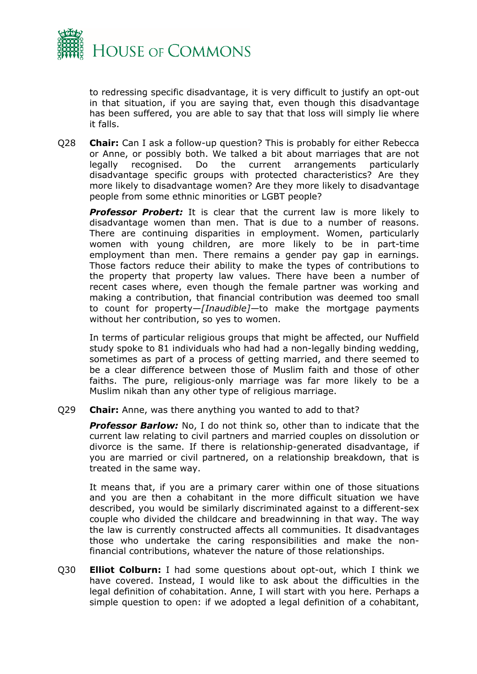

to redressing specific disadvantage, it is very difficult to justify an opt-out in that situation, if you are saying that, even though this disadvantage has been suffered, you are able to say that that loss will simply lie where it falls.

Q28 **Chair:** Can I ask a follow-up question? This is probably for either Rebecca or Anne, or possibly both. We talked a bit about marriages that are not legally recognised. Do the current arrangements particularly disadvantage specific groups with protected characteristics? Are they more likely to disadvantage women? Are they more likely to disadvantage people from some ethnic minorities or LGBT people?

**Professor Probert:** It is clear that the current law is more likely to disadvantage women than men. That is due to a number of reasons. There are continuing disparities in employment. Women, particularly women with young children, are more likely to be in part-time employment than men. There remains a gender pay gap in earnings. Those factors reduce their ability to make the types of contributions to the property that property law values. There have been a number of recent cases where, even though the female partner was working and making a contribution, that financial contribution was deemed too small to count for property—*[Inaudible]—*to make the mortgage payments without her contribution, so yes to women.

In terms of particular religious groups that might be affected, our Nuffield study spoke to 81 individuals who had had a non-legally binding wedding, sometimes as part of a process of getting married, and there seemed to be a clear difference between those of Muslim faith and those of other faiths. The pure, religious-only marriage was far more likely to be a Muslim nikah than any other type of religious marriage.

Q29 **Chair:** Anne, was there anything you wanted to add to that?

*Professor Barlow:* No, I do not think so, other than to indicate that the current law relating to civil partners and married couples on dissolution or divorce is the same. If there is relationship-generated disadvantage, if you are married or civil partnered, on a relationship breakdown, that is treated in the same way.

It means that, if you are a primary carer within one of those situations and you are then a cohabitant in the more difficult situation we have described, you would be similarly discriminated against to a different-sex couple who divided the childcare and breadwinning in that way. The way the law is currently constructed affects all communities. It disadvantages those who undertake the caring responsibilities and make the nonfinancial contributions, whatever the nature of those relationships.

Q30 **Elliot Colburn:** I had some questions about opt-out, which I think we have covered. Instead, I would like to ask about the difficulties in the legal definition of cohabitation. Anne, I will start with you here. Perhaps a simple question to open: if we adopted a legal definition of a cohabitant,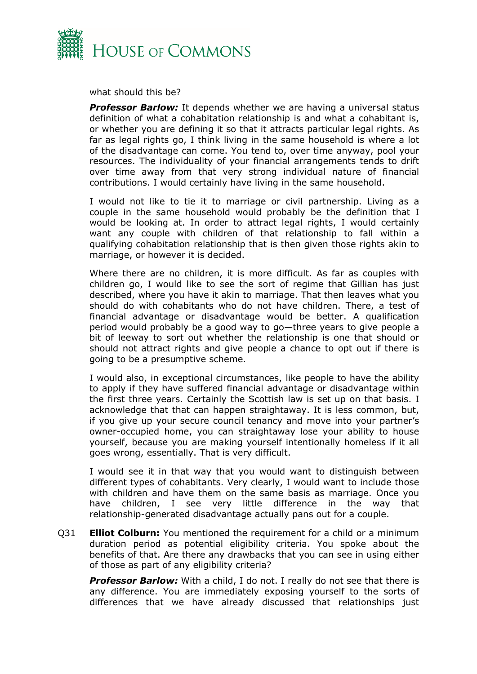

what should this be?

**Professor Barlow:** It depends whether we are having a universal status definition of what a cohabitation relationship is and what a cohabitant is, or whether you are defining it so that it attracts particular legal rights. As far as legal rights go, I think living in the same household is where a lot of the disadvantage can come. You tend to, over time anyway, pool your resources. The individuality of your financial arrangements tends to drift over time away from that very strong individual nature of financial contributions. I would certainly have living in the same household.

I would not like to tie it to marriage or civil partnership. Living as a couple in the same household would probably be the definition that I would be looking at. In order to attract legal rights, I would certainly want any couple with children of that relationship to fall within a qualifying cohabitation relationship that is then given those rights akin to marriage, or however it is decided.

Where there are no children, it is more difficult. As far as couples with children go, I would like to see the sort of regime that Gillian has just described, where you have it akin to marriage. That then leaves what you should do with cohabitants who do not have children. There, a test of financial advantage or disadvantage would be better. A qualification period would probably be a good way to go—three years to give people a bit of leeway to sort out whether the relationship is one that should or should not attract rights and give people a chance to opt out if there is going to be a presumptive scheme.

I would also, in exceptional circumstances, like people to have the ability to apply if they have suffered financial advantage or disadvantage within the first three years. Certainly the Scottish law is set up on that basis. I acknowledge that that can happen straightaway. It is less common, but, if you give up your secure council tenancy and move into your partner's owner-occupied home, you can straightaway lose your ability to house yourself, because you are making yourself intentionally homeless if it all goes wrong, essentially. That is very difficult.

I would see it in that way that you would want to distinguish between different types of cohabitants. Very clearly, I would want to include those with children and have them on the same basis as marriage. Once you have children, I see very little difference in the way that relationship-generated disadvantage actually pans out for a couple.

Q31 **Elliot Colburn:** You mentioned the requirement for a child or a minimum duration period as potential eligibility criteria. You spoke about the benefits of that. Are there any drawbacks that you can see in using either of those as part of any eligibility criteria?

**Professor Barlow:** With a child, I do not. I really do not see that there is any difference. You are immediately exposing yourself to the sorts of differences that we have already discussed that relationships just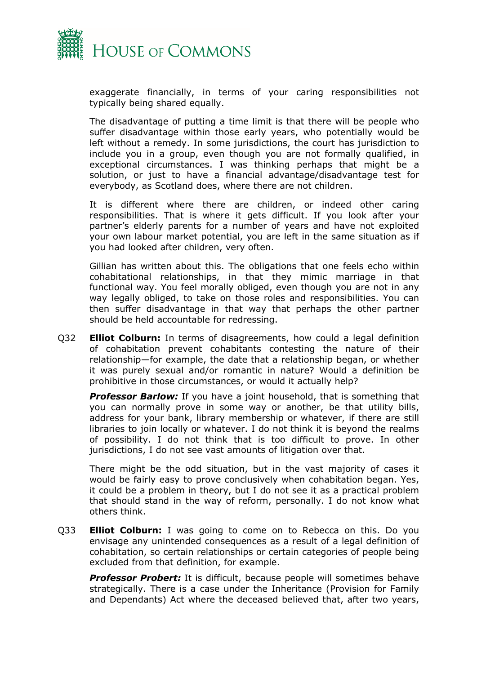

exaggerate financially, in terms of your caring responsibilities not typically being shared equally.

The disadvantage of putting a time limit is that there will be people who suffer disadvantage within those early years, who potentially would be left without a remedy. In some jurisdictions, the court has jurisdiction to include you in a group, even though you are not formally qualified, in exceptional circumstances. I was thinking perhaps that might be a solution, or just to have a financial advantage/disadvantage test for everybody, as Scotland does, where there are not children.

It is different where there are children, or indeed other caring responsibilities. That is where it gets difficult. If you look after your partner's elderly parents for a number of years and have not exploited your own labour market potential, you are left in the same situation as if you had looked after children, very often.

Gillian has written about this. The obligations that one feels echo within cohabitational relationships, in that they mimic marriage in that functional way. You feel morally obliged, even though you are not in any way legally obliged, to take on those roles and responsibilities. You can then suffer disadvantage in that way that perhaps the other partner should be held accountable for redressing.

Q32 **Elliot Colburn:** In terms of disagreements, how could a legal definition of cohabitation prevent cohabitants contesting the nature of their relationship—for example, the date that a relationship began, or whether it was purely sexual and/or romantic in nature? Would a definition be prohibitive in those circumstances, or would it actually help?

*Professor Barlow:* If you have a joint household, that is something that you can normally prove in some way or another, be that utility bills, address for your bank, library membership or whatever, if there are still libraries to join locally or whatever. I do not think it is beyond the realms of possibility. I do not think that is too difficult to prove. In other jurisdictions, I do not see vast amounts of litigation over that.

There might be the odd situation, but in the vast majority of cases it would be fairly easy to prove conclusively when cohabitation began. Yes, it could be a problem in theory, but I do not see it as a practical problem that should stand in the way of reform, personally. I do not know what others think.

Q33 **Elliot Colburn:** I was going to come on to Rebecca on this. Do you envisage any unintended consequences as a result of a legal definition of cohabitation, so certain relationships or certain categories of people being excluded from that definition, for example.

*Professor Probert:* It is difficult, because people will sometimes behave strategically. There is a case under the Inheritance (Provision for Family and Dependants) Act where the deceased believed that, after two years,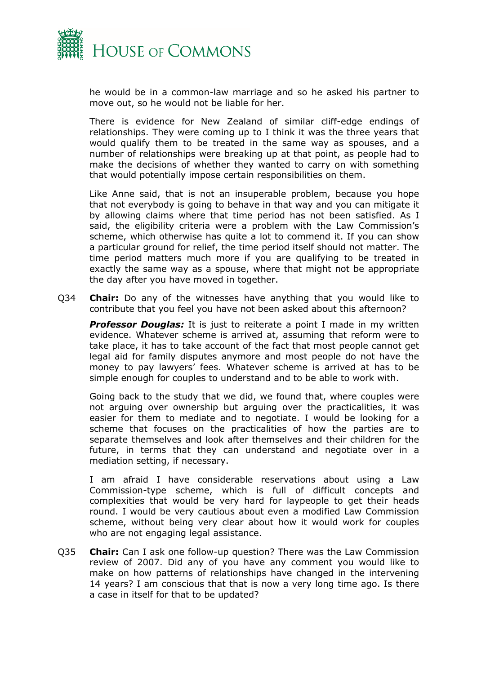

he would be in a common-law marriage and so he asked his partner to move out, so he would not be liable for her.

There is evidence for New Zealand of similar cliff-edge endings of relationships. They were coming up to I think it was the three years that would qualify them to be treated in the same way as spouses, and a number of relationships were breaking up at that point, as people had to make the decisions of whether they wanted to carry on with something that would potentially impose certain responsibilities on them.

Like Anne said, that is not an insuperable problem, because you hope that not everybody is going to behave in that way and you can mitigate it by allowing claims where that time period has not been satisfied. As I said, the eligibility criteria were a problem with the Law Commission's scheme, which otherwise has quite a lot to commend it. If you can show a particular ground for relief, the time period itself should not matter. The time period matters much more if you are qualifying to be treated in exactly the same way as a spouse, where that might not be appropriate the day after you have moved in together.

Q34 **Chair:** Do any of the witnesses have anything that you would like to contribute that you feel you have not been asked about this afternoon?

*Professor Douglas:* It is just to reiterate a point I made in my written evidence. Whatever scheme is arrived at, assuming that reform were to take place, it has to take account of the fact that most people cannot get legal aid for family disputes anymore and most people do not have the money to pay lawyers' fees. Whatever scheme is arrived at has to be simple enough for couples to understand and to be able to work with.

Going back to the study that we did, we found that, where couples were not arguing over ownership but arguing over the practicalities, it was easier for them to mediate and to negotiate. I would be looking for a scheme that focuses on the practicalities of how the parties are to separate themselves and look after themselves and their children for the future, in terms that they can understand and negotiate over in a mediation setting, if necessary.

I am afraid I have considerable reservations about using a Law Commission-type scheme, which is full of difficult concepts and complexities that would be very hard for laypeople to get their heads round. I would be very cautious about even a modified Law Commission scheme, without being very clear about how it would work for couples who are not engaging legal assistance.

Q35 **Chair:** Can I ask one follow-up question? There was the Law Commission review of 2007. Did any of you have any comment you would like to make on how patterns of relationships have changed in the intervening 14 years? I am conscious that that is now a very long time ago. Is there a case in itself for that to be updated?